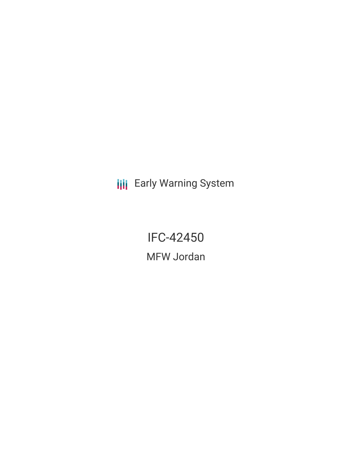**III** Early Warning System

IFC-42450 MFW Jordan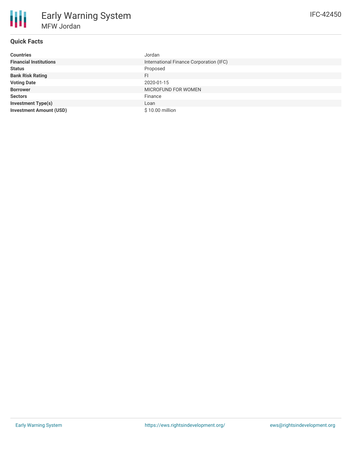| <b>Countries</b>               | Jordan                                  |
|--------------------------------|-----------------------------------------|
| <b>Financial Institutions</b>  | International Finance Corporation (IFC) |
| <b>Status</b>                  | Proposed                                |
| <b>Bank Risk Rating</b>        | FI                                      |
| <b>Voting Date</b>             | 2020-01-15                              |
| <b>Borrower</b>                | MICROFUND FOR WOMEN                     |
| <b>Sectors</b>                 | Finance                                 |
| <b>Investment Type(s)</b>      | Loan                                    |
| <b>Investment Amount (USD)</b> | \$10.00 million                         |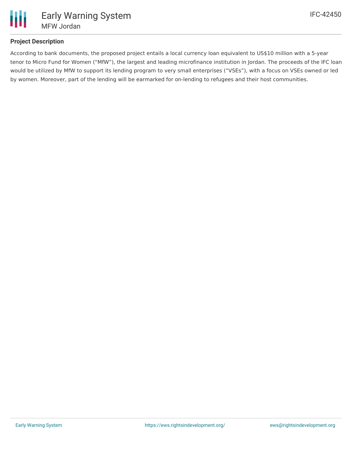

## **Project Description**

According to bank documents, the proposed project entails a local currency loan equivalent to US\$10 million with a 5-year tenor to Micro Fund for Women ("MfW"), the largest and leading microfinance institution in Jordan. The proceeds of the IFC loan would be utilized by MfW to support its lending program to very small enterprises ("VSEs"), with a focus on VSEs owned or led by women. Moreover, part of the lending will be earmarked for on-lending to refugees and their host communities.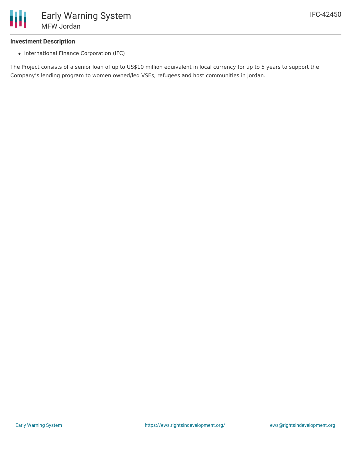

### **Investment Description**

• International Finance Corporation (IFC)

The Project consists of a senior loan of up to US\$10 million equivalent in local currency for up to 5 years to support the Company's lending program to women owned/led VSEs, refugees and host communities in Jordan.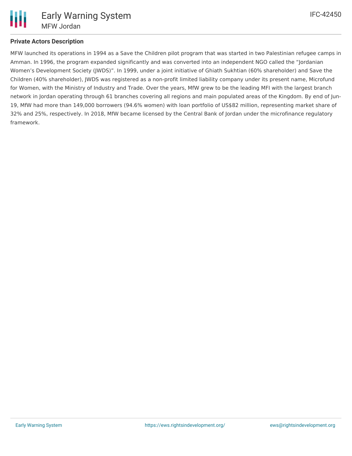# **Private Actors Description**

MFW launched its operations in 1994 as a Save the Children pilot program that was started in two Palestinian refugee camps in Amman. In 1996, the program expanded significantly and was converted into an independent NGO called the "Jordanian Women's Development Society (JWDS)". In 1999, under a joint initiative of Ghiath Sukhtian (60% shareholder) and Save the Children (40% shareholder), JWDS was registered as a non-profit limited liability company under its present name, Microfund for Women, with the Ministry of Industry and Trade. Over the years, MfW grew to be the leading MFI with the largest branch network in Jordan operating through 61 branches covering all regions and main populated areas of the Kingdom. By end of Jun-19, MfW had more than 149,000 borrowers (94.6% women) with loan portfolio of US\$82 million, representing market share of 32% and 25%, respectively. In 2018, MfW became licensed by the Central Bank of Jordan under the microfinance regulatory framework.